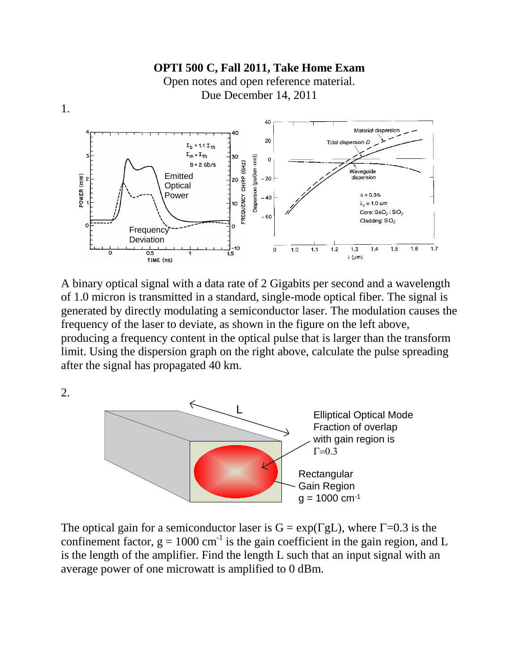

A binary optical signal with a data rate of 2 Gigabits per second and a wavelength of 1.0 micron is transmitted in a standard, single-mode optical fiber. The signal is generated by directly modulating a semiconductor laser. The modulation causes the frequency of the laser to deviate, as shown in the figure on the left above, producing a frequency content in the optical pulse that is larger than the transform limit. Using the dispersion graph on the right above, calculate the pulse spreading after the signal has propagated 40 km.

2.



The optical gain for a semiconductor laser is  $G = exp(\Gamma g L)$ , where  $\Gamma = 0.3$  is the confinement factor,  $g = 1000$  cm<sup>-1</sup> is the gain coefficient in the gain region, and L is the length of the amplifier. Find the length L such that an input signal with an average power of one microwatt is amplified to 0 dBm.